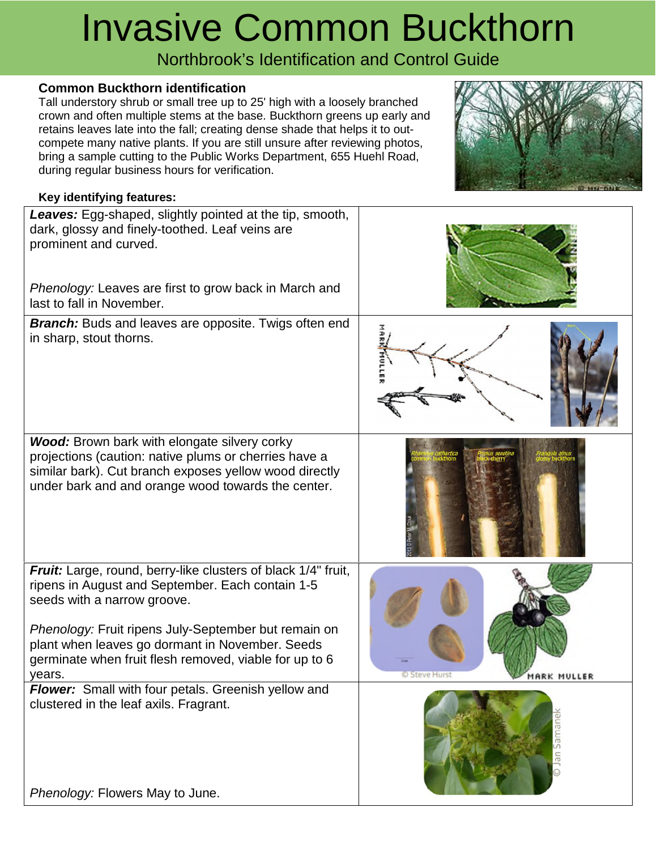# Invasive Common Buckthorn

Northbrook's Identification and Control Guide

### **Common Buckthorn identification**

Tall understory shrub or small tree up to 25' high with a loosely branched crown and often multiple stems at the base. Buckthorn greens up early and retains leaves late into the fall; creating dense shade that helps it to outcompete many native plants. If you are still unsure after reviewing photos, bring a sample cutting to the Public Works Department, 655 Huehl Road, during regular business hours for verification.



#### **Key identifying features:**

| Leaves: Egg-shaped, slightly pointed at the tip, smooth,<br>dark, glossy and finely-toothed. Leaf veins are<br>prominent and curved.<br>Phenology: Leaves are first to grow back in March and<br>last to fall in November.                                                                                                      |                             |
|---------------------------------------------------------------------------------------------------------------------------------------------------------------------------------------------------------------------------------------------------------------------------------------------------------------------------------|-----------------------------|
| <b>Branch:</b> Buds and leaves are opposite. Twigs often end<br>in sharp, stout thorns.                                                                                                                                                                                                                                         |                             |
| <b>Wood:</b> Brown bark with elongate silvery corky<br>projections (caution: native plums or cherries have a<br>similar bark). Cut branch exposes yellow wood directly<br>under bark and and orange wood towards the center.                                                                                                    |                             |
| Fruit: Large, round, berry-like clusters of black 1/4" fruit,<br>ripens in August and September. Each contain 1-5<br>seeds with a narrow groove.<br>Phenology: Fruit ripens July-September but remain on<br>plant when leaves go dormant in November. Seeds<br>germinate when fruit flesh removed, viable for up to 6<br>years. | 0 Steve Hurs<br>MARK MULLER |
| Flower: Small with four petals. Greenish yellow and<br>clustered in the leaf axils. Fragrant.<br>Phenology: Flowers May to June.                                                                                                                                                                                                |                             |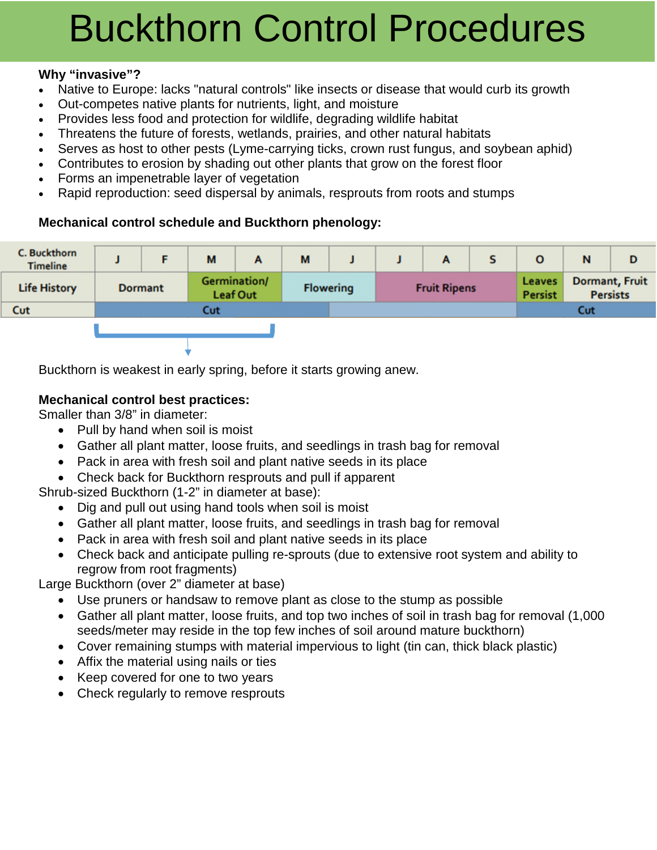# Buckthorn Control Procedures

## **Why "invasive"?**

- Native to Europe: lacks "natural controls" like insects or disease that would curb its growth
- Out-competes native plants for nutrients, light, and moisture
- Provides less food and protection for wildlife, degrading wildlife habitat
- Threatens the future of forests, wetlands, prairies, and other natural habitats
- Serves as host to other pests (Lyme-carrying ticks, crown rust fungus, and soybean aphid)
- Contributes to erosion by shading out other plants that grow on the forest floor
- Forms an impenetrable layer of vegetation
- Rapid reproduction: seed dispersal by animals, resprouts from roots and stumps

# **Mechanical control schedule and Buckthorn phenology:**



Buckthorn is weakest in early spring, before it starts growing anew.

# **Mechanical control best practices:**

Smaller than 3/8" in diameter:

- Pull by hand when soil is moist
- Gather all plant matter, loose fruits, and seedlings in trash bag for removal
- Pack in area with fresh soil and plant native seeds in its place
- Check back for Buckthorn resprouts and pull if apparent

Shrub-sized Buckthorn (1-2" in diameter at base):

- Dig and pull out using hand tools when soil is moist
- Gather all plant matter, loose fruits, and seedlings in trash bag for removal
- Pack in area with fresh soil and plant native seeds in its place
- Check back and anticipate pulling re-sprouts (due to extensive root system and ability to regrow from root fragments)

Large Buckthorn (over 2" diameter at base)

- Use pruners or handsaw to remove plant as close to the stump as possible
- Gather all plant matter, loose fruits, and top two inches of soil in trash bag for removal (1,000 seeds/meter may reside in the top few inches of soil around mature buckthorn)
- Cover remaining stumps with material impervious to light (tin can, thick black plastic)
- Affix the material using nails or ties
- Keep covered for one to two years
- Check regularly to remove resprouts